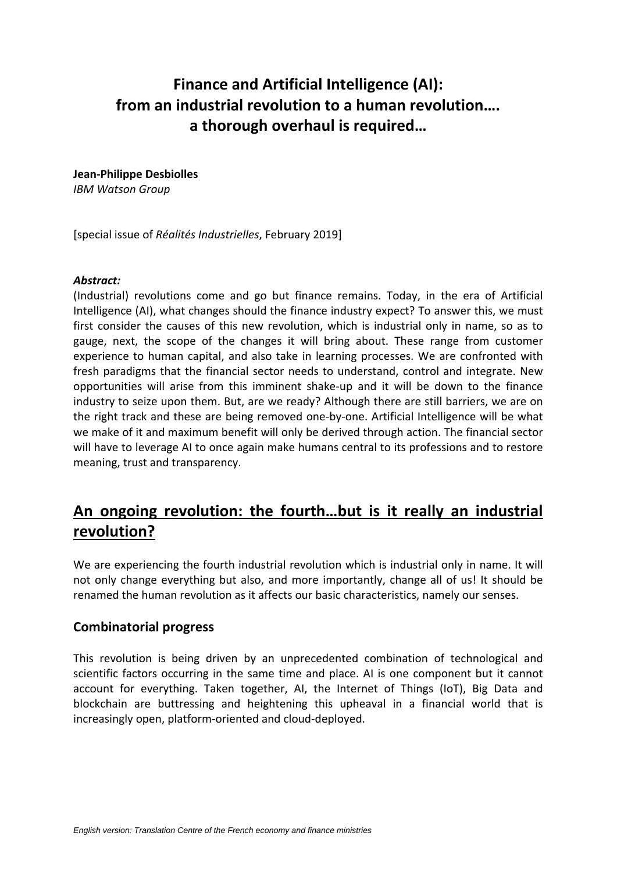# **Finance and Artificial Intelligence (AI): from an industrial revolution to a human revolution…. a thorough overhaul is required…**

**Jean-Philippe Desbiolles**

*IBM Watson Group*

[special issue of *Réalités Industrielles*, February 2019]

#### *Abstract:*

(Industrial) revolutions come and go but finance remains. Today, in the era of Artificial Intelligence (AI), what changes should the finance industry expect? To answer this, we must first consider the causes of this new revolution, which is industrial only in name, so as to gauge, next, the scope of the changes it will bring about. These range from customer experience to human capital, and also take in learning processes. We are confronted with fresh paradigms that the financial sector needs to understand, control and integrate. New opportunities will arise from this imminent shake-up and it will be down to the finance industry to seize upon them. But, are we ready? Although there are still barriers, we are on the right track and these are being removed one-by-one. Artificial Intelligence will be what we make of it and maximum benefit will only be derived through action. The financial sector will have to leverage AI to once again make humans central to its professions and to restore meaning, trust and transparency.

## **An ongoing revolution: the fourth…but is it really an industrial revolution?**

We are experiencing the fourth industrial revolution which is industrial only in name. It will not only change everything but also, and more importantly, change all of us! It should be renamed the human revolution as it affects our basic characteristics, namely our senses.

#### **Combinatorial progress**

This revolution is being driven by an unprecedented combination of technological and scientific factors occurring in the same time and place. AI is one component but it cannot account for everything. Taken together, AI, the Internet of Things (IoT), Big Data and blockchain are buttressing and heightening this upheaval in a financial world that is increasingly open, platform-oriented and cloud-deployed.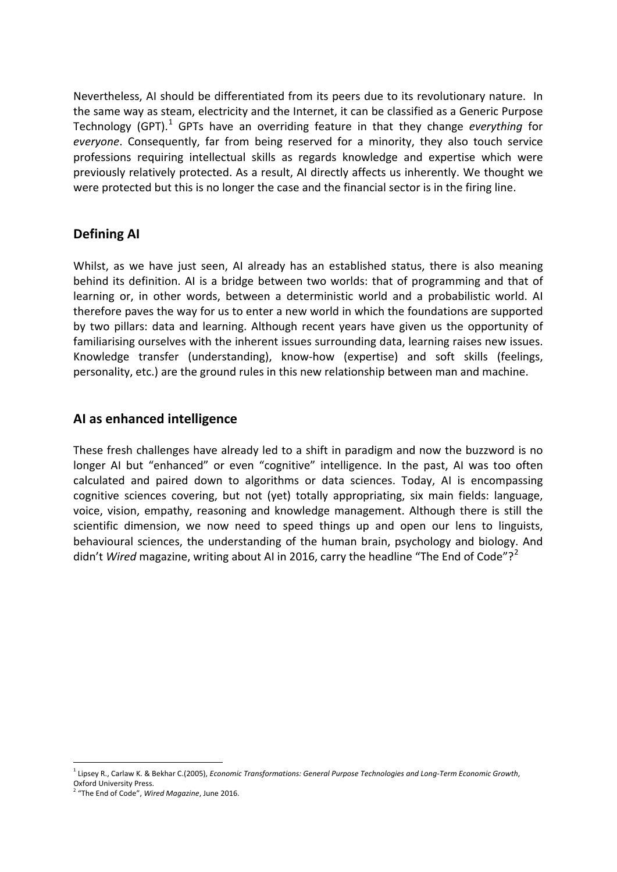Nevertheless, AI should be differentiated from its peers due to its revolutionary nature. In the same way as steam, electricity and the Internet, it can be classified as a Generic Purpose Technology (GPT).<sup>[1](#page-1-0)</sup> GPTs have an overriding feature in that they change *everything* for *everyone*. Consequently, far from being reserved for a minority, they also touch service professions requiring intellectual skills as regards knowledge and expertise which were previously relatively protected. As a result, AI directly affects us inherently. We thought we were protected but this is no longer the case and the financial sector is in the firing line.

#### **Defining AI**

Whilst, as we have just seen, AI already has an established status, there is also meaning behind its definition. AI is a bridge between two worlds: that of programming and that of learning or, in other words, between a deterministic world and a probabilistic world. AI therefore paves the way for us to enter a new world in which the foundations are supported by two pillars: data and learning. Although recent years have given us the opportunity of familiarising ourselves with the inherent issues surrounding data, learning raises new issues. Knowledge transfer (understanding), know-how (expertise) and soft skills (feelings, personality, etc.) are the ground rules in this new relationship between man and machine.

#### **AI as enhanced intelligence**

These fresh challenges have already led to a shift in paradigm and now the buzzword is no longer AI but "enhanced" or even "cognitive" intelligence. In the past, AI was too often calculated and paired down to algorithms or data sciences. Today, AI is encompassing cognitive sciences covering, but not (yet) totally appropriating, six main fields: language, voice, vision, empathy, reasoning and knowledge management. Although there is still the scientific dimension, we now need to speed things up and open our lens to linguists, behavioural sciences, the understanding of the human brain, psychology and biology. And didn't *Wired* magazine, writing about AI in [2](#page-1-1)016, carry the headline "The End of Code"?<sup>2</sup>

<span id="page-1-0"></span><sup>1</sup> Lipsey R., Carlaw K. & Bekhar C.(2005), *Economic Transformations: General Purpose Technologies and Long-Term Economic Growth*, Oxford University Press.

<span id="page-1-1"></span><sup>2</sup> "The End of Code", *Wired Magazine*, June 2016.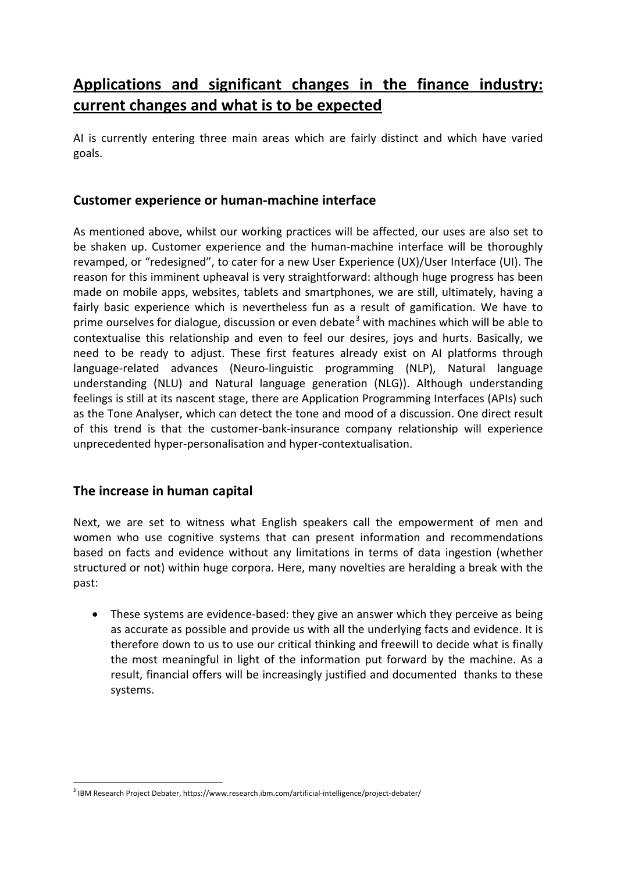# **Applications and significant changes in the finance industry: current changes and what is to be expected**

AI is currently entering three main areas which are fairly distinct and which have varied goals.

#### **Customer experience or human-machine interface**

As mentioned above, whilst our working practices will be affected, our uses are also set to be shaken up. Customer experience and the human-machine interface will be thoroughly revamped, or "redesigned", to cater for a new User Experience (UX)/User Interface (UI). The reason for this imminent upheaval is very straightforward: although huge progress has been made on mobile apps, websites, tablets and smartphones, we are still, ultimately, having a fairly basic experience which is nevertheless fun as a result of gamification. We have to prime ourselves for dialogue, discussion or even debate<sup>[3](#page-2-0)</sup> with machines which will be able to contextualise this relationship and even to feel our desires, joys and hurts. Basically, we need to be ready to adjust. These first features already exist on AI platforms through language-related advances (Neuro-linguistic programming (NLP), Natural language understanding (NLU) and Natural language generation (NLG)). Although understanding feelings is still at its nascent stage, there are Application Programming Interfaces (APIs) such as the Tone Analyser, which can detect the tone and mood of a discussion. One direct result of this trend is that the customer-bank-insurance company relationship will experience unprecedented hyper-personalisation and hyper-contextualisation.

### **The increase in human capital**

Next, we are set to witness what English speakers call the empowerment of men and women who use cognitive systems that can present information and recommendations based on facts and evidence without any limitations in terms of data ingestion (whether structured or not) within huge corpora. Here, many novelties are heralding a break with the past:

• These systems are evidence-based: they give an answer which they perceive as being as accurate as possible and provide us with all the underlying facts and evidence. It is therefore down to us to use our critical thinking and freewill to decide what is finally the most meaningful in light of the information put forward by the machine. As a result, financial offers will be increasingly justified and documented thanks to these systems.

<span id="page-2-0"></span><sup>3</sup> IBM Research Project Debater, https://www.research.ibm.com/artificial-intelligence/project-debater/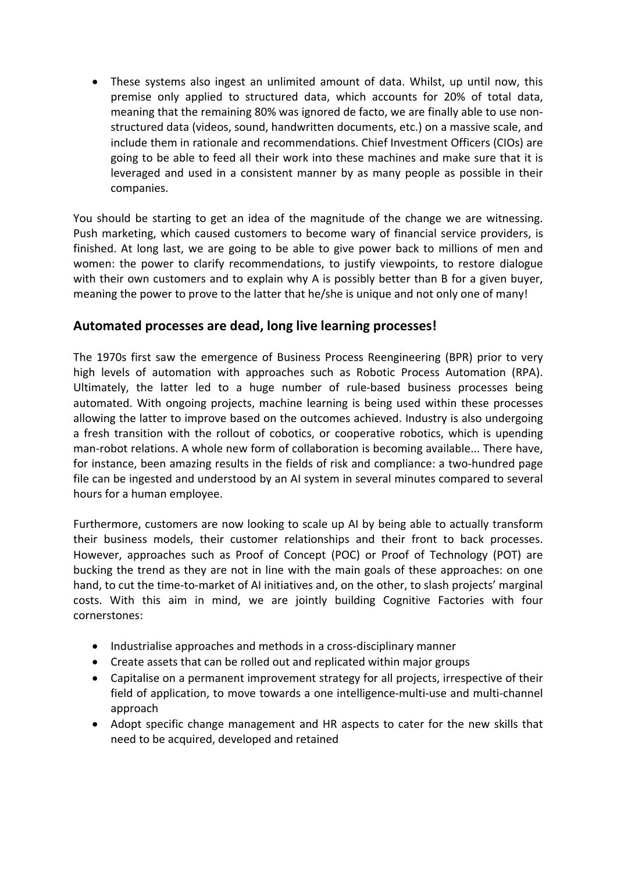• These systems also ingest an unlimited amount of data. Whilst, up until now, this premise only applied to structured data, which accounts for 20% of total data, meaning that the remaining 80% was ignored de facto, we are finally able to use nonstructured data (videos, sound, handwritten documents, etc.) on a massive scale, and include them in rationale and recommendations. Chief Investment Officers (CIOs) are going to be able to feed all their work into these machines and make sure that it is leveraged and used in a consistent manner by as many people as possible in their companies.

You should be starting to get an idea of the magnitude of the change we are witnessing. Push marketing, which caused customers to become wary of financial service providers, is finished. At long last, we are going to be able to give power back to millions of men and women: the power to clarify recommendations, to justify viewpoints, to restore dialogue with their own customers and to explain why A is possibly better than B for a given buyer, meaning the power to prove to the latter that he/she is unique and not only one of many!

#### **Automated processes are dead, long live learning processes!**

The 1970s first saw the emergence of Business Process Reengineering (BPR) prior to very high levels of automation with approaches such as Robotic Process Automation (RPA). Ultimately, the latter led to a huge number of rule-based business processes being automated. With ongoing projects, machine learning is being used within these processes allowing the latter to improve based on the outcomes achieved. Industry is also undergoing a fresh transition with the rollout of cobotics, or cooperative robotics, which is upending man-robot relations. A whole new form of collaboration is becoming available... There have, for instance, been amazing results in the fields of risk and compliance: a two-hundred page file can be ingested and understood by an AI system in several minutes compared to several hours for a human employee.

Furthermore, customers are now looking to scale up AI by being able to actually transform their business models, their customer relationships and their front to back processes. However, approaches such as Proof of Concept (POC) or Proof of Technology (POT) are bucking the trend as they are not in line with the main goals of these approaches: on one hand, to cut the time-to-market of AI initiatives and, on the other, to slash projects' marginal costs. With this aim in mind, we are jointly building Cognitive Factories with four cornerstones:

- Industrialise approaches and methods in a cross-disciplinary manner
- Create assets that can be rolled out and replicated within major groups
- Capitalise on a permanent improvement strategy for all projects, irrespective of their field of application, to move towards a one intelligence-multi-use and multi-channel approach
- Adopt specific change management and HR aspects to cater for the new skills that need to be acquired, developed and retained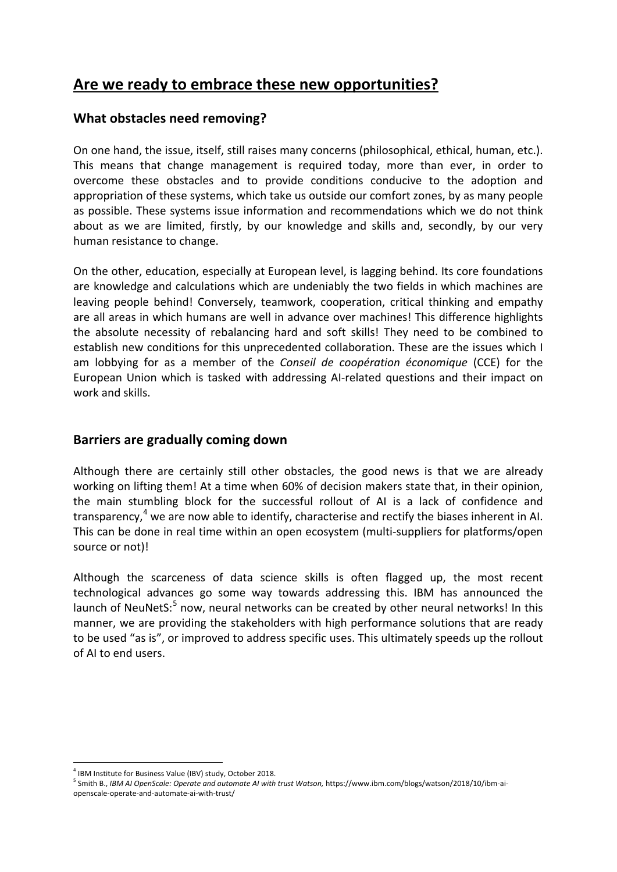### **Are we ready to embrace these new opportunities?**

#### **What obstacles need removing?**

On one hand, the issue, itself, still raises many concerns (philosophical, ethical, human, etc.). This means that change management is required today, more than ever, in order to overcome these obstacles and to provide conditions conducive to the adoption and appropriation of these systems, which take us outside our comfort zones, by as many people as possible. These systems issue information and recommendations which we do not think about as we are limited, firstly, by our knowledge and skills and, secondly, by our very human resistance to change.

On the other, education, especially at European level, is lagging behind. Its core foundations are knowledge and calculations which are undeniably the two fields in which machines are leaving people behind! Conversely, teamwork, cooperation, critical thinking and empathy are all areas in which humans are well in advance over machines! This difference highlights the absolute necessity of rebalancing hard and soft skills! They need to be combined to establish new conditions for this unprecedented collaboration. These are the issues which I am lobbying for as a member of the *Conseil de coopération économique* (CCE) for the European Union which is tasked with addressing AI-related questions and their impact on work and skills.

#### **Barriers are gradually coming down**

Although there are certainly still other obstacles, the good news is that we are already working on lifting them! At a time when 60% of decision makers state that, in their opinion, the main stumbling block for the successful rollout of AI is a lack of confidence and transparency,<sup>[4](#page-4-0)</sup> we are now able to identify, characterise and rectify the biases inherent in AI. This can be done in real time within an open ecosystem (multi-suppliers for platforms/open source or not)!

Although the scarceness of data science skills is often flagged up, the most recent technological advances go some way towards addressing this. IBM has announced the launch of NeuNetS:<sup>[5](#page-4-1)</sup> now, neural networks can be created by other neural networks! In this manner, we are providing the stakeholders with high performance solutions that are ready to be used "as is", or improved to address specific uses. This ultimately speeds up the rollout of AI to end users.

<span id="page-4-0"></span> $4$  IBM Institute for Business Value (IBV) study, October 2018.

<span id="page-4-1"></span><sup>5</sup> Smith B., *IBM AI OpenScale: Operate and automate AI with trust Watson,* https://www.ibm.com/blogs/watson/2018/10/ibm-aiopenscale-operate-and-automate-ai-with-trust/